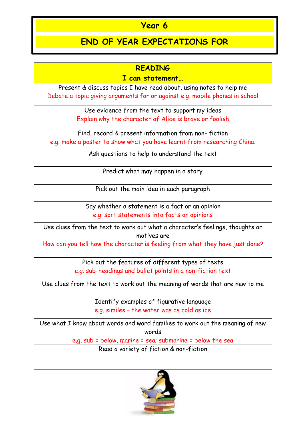## **Year 6**

## **END OF YEAR EXPECTATIONS FOR**

## **READING**

## **I can statement…**

Present & discuss topics I have read about, using notes to help me Debate a topic giving arguments for or against e.g. mobile phones in school

> Use evidence from the text to support my ideas Explain why the character of Alice is brave or foolish

Find, record & present information from non- fiction e.g. make a poster to show what you have learnt from researching China.

Ask questions to help to understand the text

Predict what may happen in a story

Pick out the main idea in each paragraph

Say whether a statement is a fact or an opinion e.g. sort statements into facts or opinions

Use clues from the text to work out what a character's feelings, thoughts or motives are

How can you tell how the character is feeling from what they have just done?

Pick out the features of different types of texts e.g. sub-headings and bullet points in a non-fiction text

Use clues from the text to work out the meaning of words that are new to me

Identify examples of figurative language e.g. similes – the water was as cold as ice

Use what I know about words and word families to work out the meaning of new words

> e.g. sub = below, marine = sea; submarine = below the sea Read a variety of fiction & non-fiction